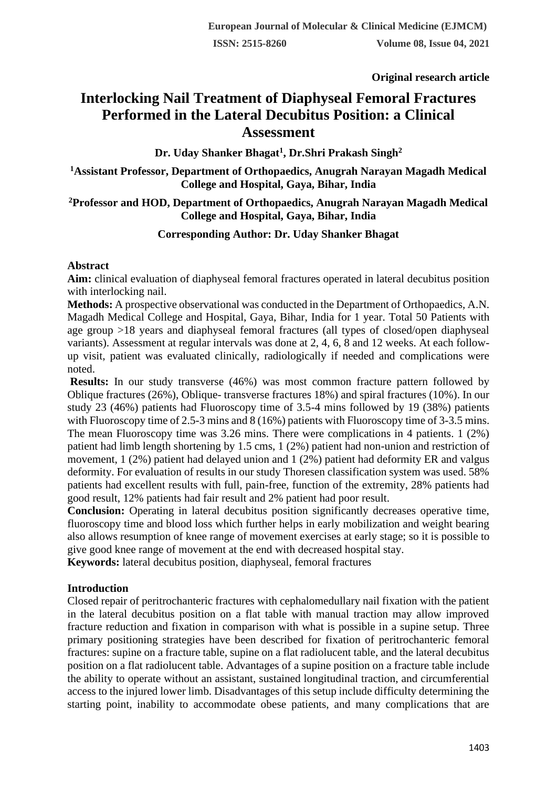**Original research article** 

# **Interlocking Nail Treatment of Diaphyseal Femoral Fractures Performed in the Lateral Decubitus Position: a Clinical Assessment**

**Dr. Uday Shanker Bhagat<sup>1</sup> , Dr.Shri Prakash Singh<sup>2</sup>**

**<sup>1</sup>Assistant Professor, Department of Orthopaedics, Anugrah Narayan Magadh Medical College and Hospital, Gaya, Bihar, India**

## **<sup>2</sup>Professor and HOD, Department of Orthopaedics, Anugrah Narayan Magadh Medical College and Hospital, Gaya, Bihar, India**

# **Corresponding Author: Dr. Uday Shanker Bhagat**

## **Abstract**

**Aim:** clinical evaluation of diaphyseal femoral fractures operated in lateral decubitus position with interlocking nail.

**Methods:** A prospective observational was conducted in the Department of Orthopaedics, A.N. Magadh Medical College and Hospital, Gaya, Bihar, India for 1 year. Total 50 Patients with age group >18 years and diaphyseal femoral fractures (all types of closed/open diaphyseal variants). Assessment at regular intervals was done at 2, 4, 6, 8 and 12 weeks. At each followup visit, patient was evaluated clinically, radiologically if needed and complications were noted.

**Results:** In our study transverse (46%) was most common fracture pattern followed by Oblique fractures (26%), Oblique- transverse fractures 18%) and spiral fractures (10%). In our study 23 (46%) patients had Fluoroscopy time of 3.5-4 mins followed by 19 (38%) patients with Fluoroscopy time of 2.5-3 mins and 8 (16%) patients with Fluoroscopy time of 3-3.5 mins. The mean Fluoroscopy time was 3.26 mins. There were complications in 4 patients. 1 (2%) patient had limb length shortening by 1.5 cms, 1 (2%) patient had non-union and restriction of movement, 1 (2%) patient had delayed union and 1 (2%) patient had deformity ER and valgus deformity. For evaluation of results in our study Thoresen classification system was used. 58% patients had excellent results with full, pain-free, function of the extremity, 28% patients had good result, 12% patients had fair result and 2% patient had poor result.

**Conclusion:** Operating in lateral decubitus position significantly decreases operative time, fluoroscopy time and blood loss which further helps in early mobilization and weight bearing also allows resumption of knee range of movement exercises at early stage; so it is possible to give good knee range of movement at the end with decreased hospital stay.

**Keywords:** lateral decubitus position, diaphyseal, femoral fractures

# **Introduction**

Closed repair of peritrochanteric fractures with cephalomedullary nail fixation with the patient in the lateral decubitus position on a flat table with manual traction may allow improved fracture reduction and fixation in comparison with what is possible in a supine setup. Three primary positioning strategies have been described for fixation of peritrochanteric femoral fractures: supine on a fracture table, supine on a flat radiolucent table, and the lateral decubitus position on a flat radiolucent table. Advantages of a supine position on a fracture table include the ability to operate without an assistant, sustained longitudinal traction, and circumferential access to the injured lower limb. Disadvantages of this setup include difficulty determining the starting point, inability to accommodate obese patients, and many complications that are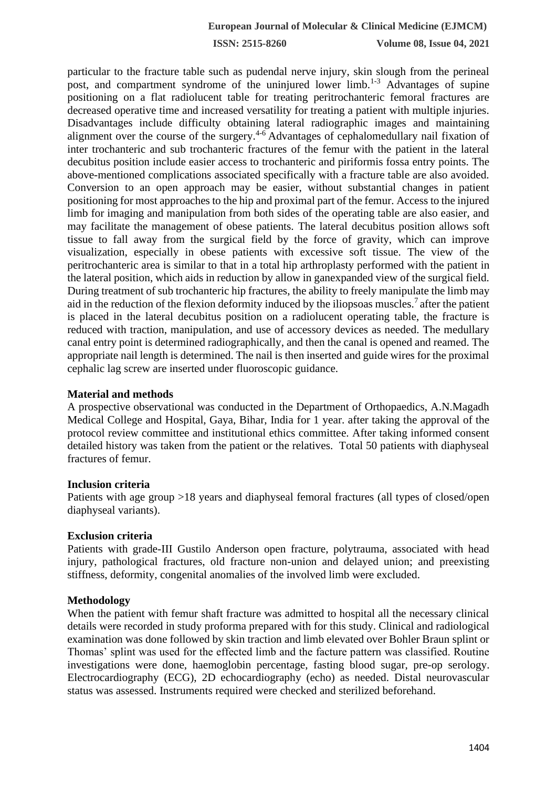**ISSN: 2515-8260 Volume 08, Issue 04, 2021**

particular to the fracture table such as pudendal nerve injury, skin slough from the perineal post, and compartment syndrome of the uninjured lower limb.<sup>1-3</sup> Advantages of supine positioning on a flat radiolucent table for treating peritrochanteric femoral fractures are decreased operative time and increased versatility for treating a patient with multiple injuries. Disadvantages include difficulty obtaining lateral radiographic images and maintaining alignment over the course of the surgery.4-6 Advantages of cephalomedullary nail fixation of inter trochanteric and sub trochanteric fractures of the femur with the patient in the lateral decubitus position include easier access to trochanteric and piriformis fossa entry points. The above-mentioned complications associated specifically with a fracture table are also avoided. Conversion to an open approach may be easier, without substantial changes in patient positioning for most approaches to the hip and proximal part of the femur. Access to the injured limb for imaging and manipulation from both sides of the operating table are also easier, and may facilitate the management of obese patients. The lateral decubitus position allows soft tissue to fall away from the surgical field by the force of gravity, which can improve visualization, especially in obese patients with excessive soft tissue. The view of the peritrochanteric area is similar to that in a total hip arthroplasty performed with the patient in the lateral position, which aids in reduction by allow in ganexpanded view of the surgical field. During treatment of sub trochanteric hip fractures, the ability to freely manipulate the limb may aid in the reduction of the flexion deformity induced by the iliopsoas muscles.<sup>7</sup> after the patient is placed in the lateral decubitus position on a radiolucent operating table, the fracture is reduced with traction, manipulation, and use of accessory devices as needed. The medullary canal entry point is determined radiographically, and then the canal is opened and reamed. The appropriate nail length is determined. The nail is then inserted and guide wires for the proximal cephalic lag screw are inserted under fluoroscopic guidance.

## **Material and methods**

A prospective observational was conducted in the Department of Orthopaedics, A.N.Magadh Medical College and Hospital, Gaya, Bihar, India for 1 year. after taking the approval of the protocol review committee and institutional ethics committee. After taking informed consent detailed history was taken from the patient or the relatives. Total 50 patients with diaphyseal fractures of femur.

## **Inclusion criteria**

Patients with age group >18 years and diaphyseal femoral fractures (all types of closed/open diaphyseal variants).

## **Exclusion criteria**

Patients with grade-III Gustilo Anderson open fracture, polytrauma, associated with head injury, pathological fractures, old fracture non-union and delayed union; and preexisting stiffness, deformity, congenital anomalies of the involved limb were excluded.

## **Methodology**

When the patient with femur shaft fracture was admitted to hospital all the necessary clinical details were recorded in study proforma prepared with for this study. Clinical and radiological examination was done followed by skin traction and limb elevated over Bohler Braun splint or Thomas' splint was used for the effected limb and the facture pattern was classified. Routine investigations were done, haemoglobin percentage, fasting blood sugar, pre-op serology. Electrocardiography (ECG), 2D echocardiography (echo) as needed. Distal neurovascular status was assessed. Instruments required were checked and sterilized beforehand.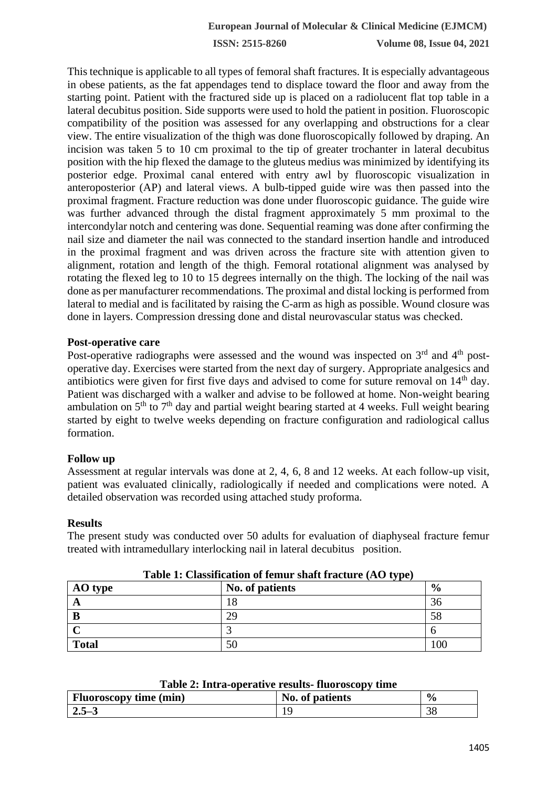**ISSN: 2515-8260 Volume 08, Issue 04, 2021**

This technique is applicable to all types of femoral shaft fractures. It is especially advantageous in obese patients, as the fat appendages tend to displace toward the floor and away from the starting point. Patient with the fractured side up is placed on a radiolucent flat top table in a lateral decubitus position. Side supports were used to hold the patient in position. Fluoroscopic compatibility of the position was assessed for any overlapping and obstructions for a clear view. The entire visualization of the thigh was done fluoroscopically followed by draping. An incision was taken 5 to 10 cm proximal to the tip of greater trochanter in lateral decubitus position with the hip flexed the damage to the gluteus medius was minimized by identifying its posterior edge. Proximal canal entered with entry awl by fluoroscopic visualization in anteroposterior (AP) and lateral views. A bulb-tipped guide wire was then passed into the proximal fragment. Fracture reduction was done under fluoroscopic guidance. The guide wire was further advanced through the distal fragment approximately 5 mm proximal to the intercondylar notch and centering was done. Sequential reaming was done after confirming the nail size and diameter the nail was connected to the standard insertion handle and introduced in the proximal fragment and was driven across the fracture site with attention given to alignment, rotation and length of the thigh. Femoral rotational alignment was analysed by rotating the flexed leg to 10 to 15 degrees internally on the thigh. The locking of the nail was done as per manufacturer recommendations. The proximal and distal locking is performed from lateral to medial and is facilitated by raising the C-arm as high as possible. Wound closure was done in layers. Compression dressing done and distal neurovascular status was checked.

## **Post-operative care**

Post-operative radiographs were assessed and the wound was inspected on  $3<sup>rd</sup>$  and  $4<sup>th</sup>$  postoperative day. Exercises were started from the next day of surgery. Appropriate analgesics and antibiotics were given for first five days and advised to come for suture removal on  $14<sup>th</sup>$  day. Patient was discharged with a walker and advise to be followed at home. Non-weight bearing ambulation on  $5<sup>th</sup>$  to  $7<sup>th</sup>$  day and partial weight bearing started at 4 weeks. Full weight bearing started by eight to twelve weeks depending on fracture configuration and radiological callus formation.

#### **Follow up**

Assessment at regular intervals was done at 2, 4, 6, 8 and 12 weeks. At each follow-up visit, patient was evaluated clinically, radiologically if needed and complications were noted. A detailed observation was recorded using attached study proforma.

#### **Results**

The present study was conducted over 50 adults for evaluation of diaphyseal fracture femur treated with intramedullary interlocking nail in lateral decubitus position.

| Table 1. Chapmication of female bliate hactary (110 type) |                 |               |
|-----------------------------------------------------------|-----------------|---------------|
| AO type                                                   | No. of patients | $\frac{0}{0}$ |
| $\mathbf{A}$                                              |                 | .3C           |
|                                                           | 29              | 58            |
|                                                           |                 |               |
| <b>Total</b>                                              |                 | 100           |

#### **Table 1: Classification of femur shaft fracture (AO type)**

#### **Table 2: Intra-operative results- fluoroscopy time**

| <b>Fluoroscopy time (min)</b> | No. of patients | $\frac{0}{0}$ |
|-------------------------------|-----------------|---------------|
| $\sqrt{2.5-3}$                |                 |               |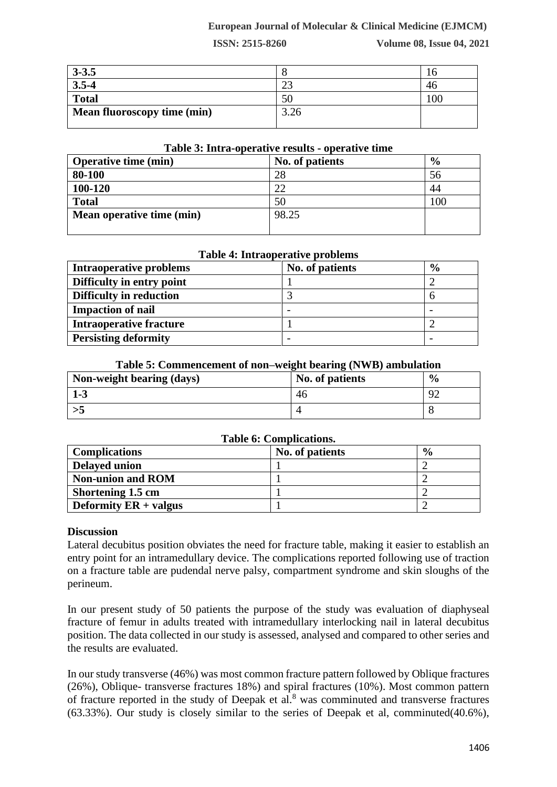## **European Journal of Molecular & Clinical Medicine (EJMCM)**

**ISSN: 2515-8260 Volume 08, Issue 04, 2021**

| $3 - 3.5$                          |      |     |
|------------------------------------|------|-----|
| $3.5 - 4$                          |      |     |
| <b>Total</b>                       |      | .00 |
| <b>Mean fluoroscopy time (min)</b> | 3.26 |     |

#### **Table 3: Intra-operative results - operative time**

| <b>Operative time (min)</b> | No. of patients | $\frac{6}{9}$ |
|-----------------------------|-----------------|---------------|
| 80-100                      | 28              | 56            |
| 100-120                     | 22              | 44            |
| <b>Total</b>                | 50              | .00           |
| Mean operative time (min)   | 98.25           |               |
|                             |                 |               |

## **Table 4: Intraoperative problems**

| <b>Intraoperative problems</b> | No. of patients | $\frac{6}{9}$ |
|--------------------------------|-----------------|---------------|
| Difficulty in entry point      |                 |               |
| <b>Difficulty in reduction</b> |                 |               |
| <b>Impaction of nail</b>       |                 |               |
| <b>Intraoperative fracture</b> |                 |               |
| <b>Persisting deformity</b>    |                 |               |

## **Table 5: Commencement of non–weight bearing (NWB) ambulation**

| Non-weight bearing (days) | No. of patients | $\frac{6}{9}$ |
|---------------------------|-----------------|---------------|
| $1 - 3$                   | 46              | Q′            |
|                           |                 |               |

## **Table 6: Complications.**

| <b>Complications</b>     | No. of patients | $\frac{6}{9}$ |
|--------------------------|-----------------|---------------|
| <b>Delayed union</b>     |                 |               |
| <b>Non-union and ROM</b> |                 |               |
| Shortening 1.5 cm        |                 |               |
| Deformity $ER + values$  |                 |               |

## **Discussion**

Lateral decubitus position obviates the need for fracture table, making it easier to establish an entry point for an intramedullary device. The complications reported following use of traction on a fracture table are pudendal nerve palsy, compartment syndrome and skin sloughs of the perineum.

In our present study of 50 patients the purpose of the study was evaluation of diaphyseal fracture of femur in adults treated with intramedullary interlocking nail in lateral decubitus position. The data collected in our study is assessed, analysed and compared to other series and the results are evaluated.

In our study transverse (46%) was most common fracture pattern followed by Oblique fractures (26%), Oblique- transverse fractures 18%) and spiral fractures (10%). Most common pattern of fracture reported in the study of Deepak et al.<sup>8</sup> was comminuted and transverse fractures (63.33%). Our study is closely similar to the series of Deepak et al, comminuted(40.6%),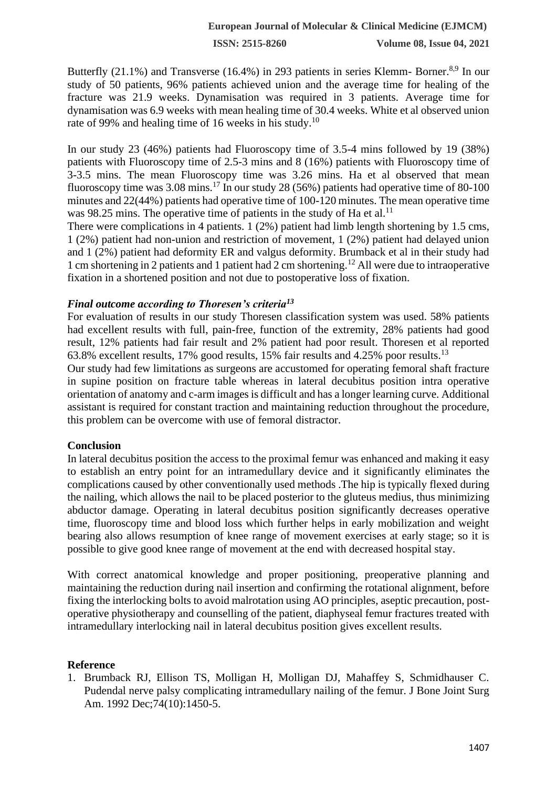**ISSN: 2515-8260 Volume 08, Issue 04, 2021**

Butterfly (21.1%) and Transverse (16.4%) in 293 patients in series Klemm- Borner.<sup>8,9</sup> In our study of 50 patients, 96% patients achieved union and the average time for healing of the fracture was 21.9 weeks. Dynamisation was required in 3 patients. Average time for dynamisation was 6.9 weeks with mean healing time of 30.4 weeks. White et al observed union rate of 99% and healing time of 16 weeks in his study.<sup>10</sup>

In our study 23 (46%) patients had Fluoroscopy time of 3.5-4 mins followed by 19 (38%) patients with Fluoroscopy time of 2.5-3 mins and 8 (16%) patients with Fluoroscopy time of 3-3.5 mins. The mean Fluoroscopy time was 3.26 mins. Ha et al observed that mean fluoroscopy time was  $3.08 \text{ mins}$ .<sup>17</sup> In our study 28 (56%) patients had operative time of 80-100 minutes and 22(44%) patients had operative time of 100-120 minutes. The mean operative time was 98.25 mins. The operative time of patients in the study of Ha et al.<sup>11</sup>

There were complications in 4 patients. 1 (2%) patient had limb length shortening by 1.5 cms, 1 (2%) patient had non-union and restriction of movement, 1 (2%) patient had delayed union and 1 (2%) patient had deformity ER and valgus deformity. Brumback et al in their study had 1 cm shortening in 2 patients and 1 patient had 2 cm shortening.<sup>12</sup> All were due to intraoperative fixation in a shortened position and not due to postoperative loss of fixation.

## *Final outcome according to Thoresen's criteria<sup>13</sup>*

For evaluation of results in our study Thoresen classification system was used. 58% patients had excellent results with full, pain-free, function of the extremity, 28% patients had good result, 12% patients had fair result and 2% patient had poor result. Thoresen et al reported 63.8% excellent results, 17% good results, 15% fair results and 4.25% poor results.<sup>13</sup>

Our study had few limitations as surgeons are accustomed for operating femoral shaft fracture in supine position on fracture table whereas in lateral decubitus position intra operative orientation of anatomy and c-arm images is difficult and has a longer learning curve. Additional assistant is required for constant traction and maintaining reduction throughout the procedure, this problem can be overcome with use of femoral distractor.

## **Conclusion**

In lateral decubitus position the access to the proximal femur was enhanced and making it easy to establish an entry point for an intramedullary device and it significantly eliminates the complications caused by other conventionally used methods .The hip is typically flexed during the nailing, which allows the nail to be placed posterior to the gluteus medius, thus minimizing abductor damage. Operating in lateral decubitus position significantly decreases operative time, fluoroscopy time and blood loss which further helps in early mobilization and weight bearing also allows resumption of knee range of movement exercises at early stage; so it is possible to give good knee range of movement at the end with decreased hospital stay.

With correct anatomical knowledge and proper positioning, preoperative planning and maintaining the reduction during nail insertion and confirming the rotational alignment, before fixing the interlocking bolts to avoid malrotation using AO principles, aseptic precaution, postoperative physiotherapy and counselling of the patient, diaphyseal femur fractures treated with intramedullary interlocking nail in lateral decubitus position gives excellent results.

# **Reference**

1. Brumback RJ, Ellison TS, Molligan H, Molligan DJ, Mahaffey S, Schmidhauser C. Pudendal nerve palsy complicating intramedullary nailing of the femur. J Bone Joint Surg Am. 1992 Dec;74(10):1450-5.